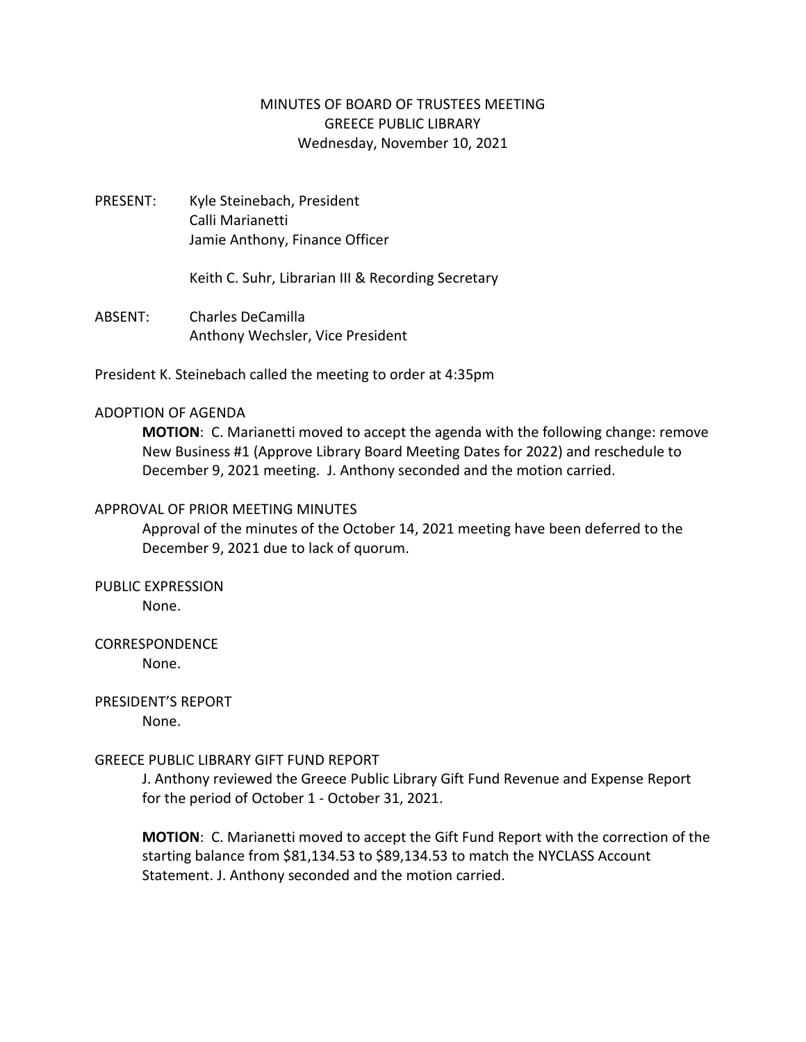## MINUTES OF BOARD OF TRUSTEES MEETING GREECE PUBLIC LIBRARY Wednesday, November 10, 2021

PRESENT: Kyle Steinebach, President Calli Marianetti Jamie Anthony, Finance Officer

Keith C. Suhr, Librarian III & Recording Secretary

ABSENT: Charles DeCamilla Anthony Wechsler, Vice President

President K. Steinebach called the meeting to order at 4:35pm

## ADOPTION OF AGENDA

**MOTION**: C. Marianetti moved to accept the agenda with the following change: remove New Business #1 (Approve Library Board Meeting Dates for 2022) and reschedule to December 9, 2021 meeting. J. Anthony seconded and the motion carried.

## APPROVAL OF PRIOR MEETING MINUTES

Approval of the minutes of the October 14, 2021 meeting have been deferred to the December 9, 2021 due to lack of quorum.

PUBLIC EXPRESSION

None.

## CORRESPONDENCE

None.

PRESIDENT'S REPORT

None.

## GREECE PUBLIC LIBRARY GIFT FUND REPORT

J. Anthony reviewed the Greece Public Library Gift Fund Revenue and Expense Report for the period of October 1 - October 31, 2021.

**MOTION**: C. Marianetti moved to accept the Gift Fund Report with the correction of the starting balance from \$81,134.53 to \$89,134.53 to match the NYCLASS Account Statement. J. Anthony seconded and the motion carried.